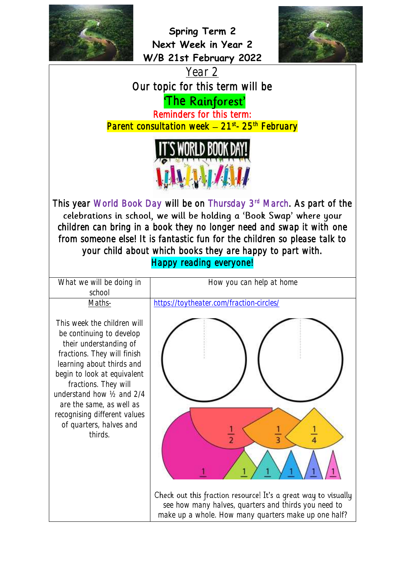

**Spring Term 2 Next Week in Year 2 W/B 21st February 2022**







This year World Book Day will be on Thursday 3<sup>rd</sup> March. As part of the children can bring in a book they no longer need and swap it with one from someone else! It is fantastic fun for the children so please talk to your child about which books they are happy to part with. Happy reading everyone!

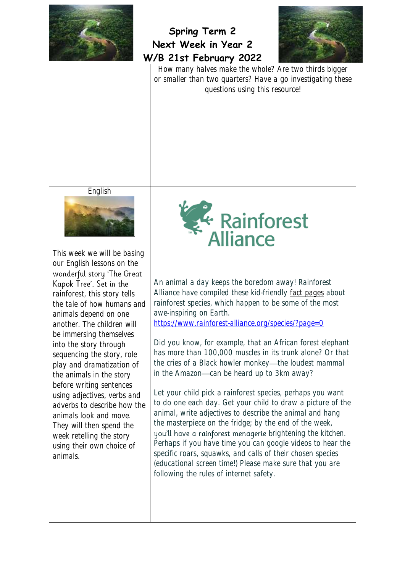



How many halves make the whole? Are two thirds bigger or smaller than two quarters? Have a go investigating these questions using this resource!

English



This week we will be basing our English lessons on the wonderful story 'The Great Kapok Tree'. Set in the rainforest, this story tells the tale of how humans and animals depend on one another. The children will be immersing themselves into the story through sequencing the story, role play and dramatization of the animals in the story before writing sentences using adjectives, verbs and adverbs to describe how the animals look and move. They will then spend the week retelling the story using their own choice of animals.



An animal a day keeps the boredom away! Rainforest Alliance have compiled these kid-friendly [fact pages](https://www.rainforest-alliance.org/species?page=0) about rainforest species, which happen to be some of the most awe-inspiring on Earth.

<https://www.rainforest-alliance.org/species/?page=0>

Did you know, for example, that an African forest elephant has more than 100,000 muscles in its trunk alone? Or that the cries of a Black howler monkey—the loudest mammal in the Amazon-can be heard up to 3km away?

Let your child pick a rainforest species, perhaps you want to do one each day. Get your child to draw a picture of the animal, write adjectives to describe the animal and hang the masterpiece on the fridge; by the end of the week, you'll have a rainforest menagerie brightening the kitchen. Perhaps if you have time you can google videos to hear the specific roars, squawks, and calls of their chosen species (educational screen time!) Please make sure that you are following the rules of internet safety.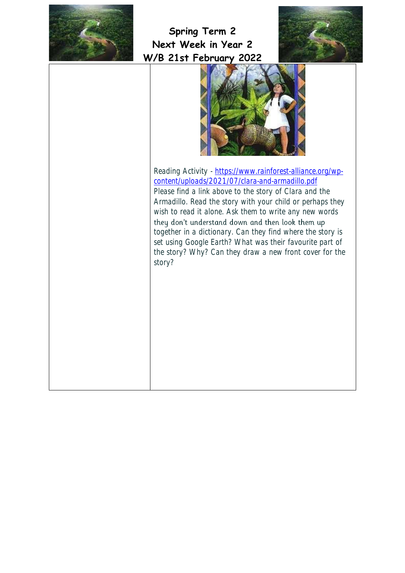





Reading Activity - [https://www.rainforest-alliance.org/wp](https://www.rainforest-alliance.org/wp-content/uploads/2021/07/clara-and-armadillo.pdf)[content/uploads/2021/07/clara-and-armadillo.pdf](https://www.rainforest-alliance.org/wp-content/uploads/2021/07/clara-and-armadillo.pdf) Please find a link above to the story of Clara and the Armadillo. Read the story with your child or perhaps they wish to read it alone. Ask them to write any new words they don't understand down and then look them up together in a dictionary. Can they find where the story is set using Google Earth? What was their favourite part of the story? Why? Can they draw a new front cover for the story?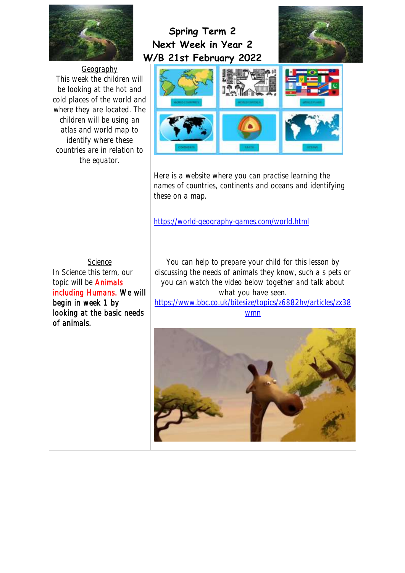|                                                                                                                                                                                                                                                                     | <b>Spring Term 2</b><br>Next Week in Year 2<br>W/B 21st February 2022                                                                                                                                                                                                      |  |
|---------------------------------------------------------------------------------------------------------------------------------------------------------------------------------------------------------------------------------------------------------------------|----------------------------------------------------------------------------------------------------------------------------------------------------------------------------------------------------------------------------------------------------------------------------|--|
| Geography<br>This week the children will<br>be looking at the hot and<br>cold places of the world and<br>where they are located. The<br>children will be using an<br>atlas and world map to<br>identify where these<br>countries are in relation to<br>the equator. | Here is a website where you can practise learning the<br>names of countries, continents and oceans and identifying<br>these on a map.<br>https://world-geography-games.com/world.html                                                                                      |  |
| <b>Science</b><br>In Science this term, our<br>topic will be <b>Animals</b><br>including Humans. We will<br>begin in week 1 by<br>looking at the basic needs<br>of animals.                                                                                         | You can help to prepare your child for this lesson by<br>discussing the needs of animals they know, such a s pets or<br>you can watch the video below together and talk about<br>what you have seen.<br>https://www.bbc.co.uk/bitesize/topics/z6882hv/articles/zx38<br>wmn |  |
|                                                                                                                                                                                                                                                                     |                                                                                                                                                                                                                                                                            |  |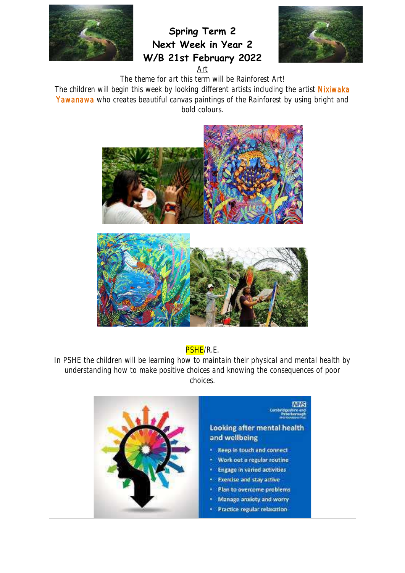

**Spring Term 2 Next Week in Year 2 W/B 21st February 2022**



Art

The theme for art this term will be Rainforest Art!

The children will begin this week by looking different artists including the artist Nixiwaka Yawanawa who creates beautiful canvas paintings of the Rainforest by using bright and bold colours.





## PSHE/R.E.

In PSHE the children will be learning how to maintain their physical and mental health by understanding how to make positive choices and knowing the consequences of poor choices.

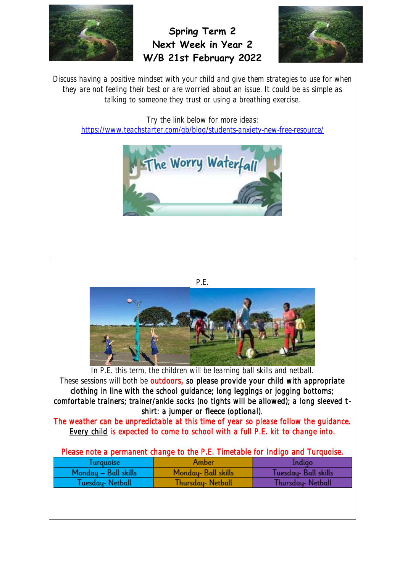

**Spring Term 2 Next Week in Year 2 W/B 21st February 2022**



Discuss having a positive mindset with your child and give them strategies to use for when they are not feeling their best or are worried about an issue. It could be as simple as talking to someone they trust or using a breathing exercise.

Try the link below for more ideas:

<https://www.teachstarter.com/gb/blog/students-anxiety-new-free-resource/>





P.E.

In P.E. this term, the children will be learning ball skills and netball.

These sessions will both be outdoors, so please provide your child with appropriate clothing in line with the school guidance; long leggings or jogging bottoms; comfortable trainers; trainer/ankle socks (no tights will be allowed); a long sleeved tshirt: a jumper or fleece (optional).

The weather can be unpredictable at this time of year so please follow the guidance. Every child is expected to come to school with a full P.E. kit to change into.

| Please note a permanent change to the P.E. Timetable for Indigo and Turquoise. |  |  |
|--------------------------------------------------------------------------------|--|--|
|--------------------------------------------------------------------------------|--|--|

| <i><u><b>Turquoise</b></u></i> | Amber               | Indigo              |
|--------------------------------|---------------------|---------------------|
| Monday - Ball skills           | Monday- Ball skills | Tuesday-Ball skills |
| Tuesday- Netball               | Thursday- Netball   | Thursday-Netball    |
|                                |                     |                     |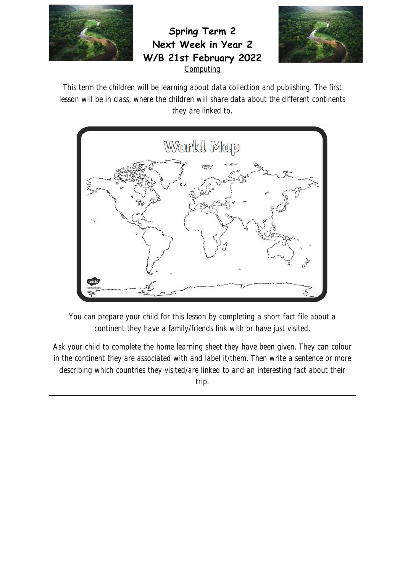

**Spring Term 2 Next Week in Year 2 W/B 21st February 2022**



**Computing** 

This term the children will be learning about data collection and publishing. The first lesson will be in class, where the children will share data about the different continents they are linked to.



You can prepare your child for this lesson by completing a short fact file about a continent they have a family/friends link with or have just visited.

Ask your child to complete the home learning sheet they have been given. They can colour in the continent they are associated with and label it/them. Then write a sentence or more describing which countries they visited/are linked to and an interesting fact about their trip.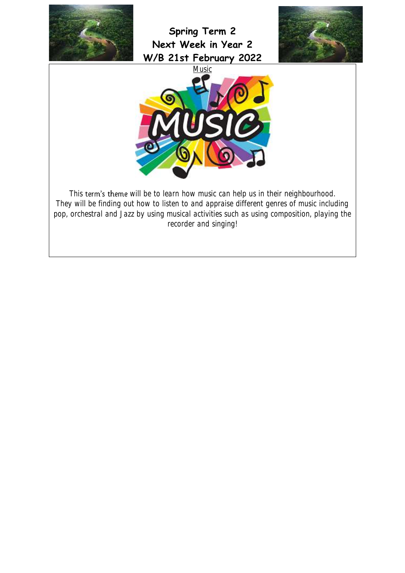

**Spring Term 2 Next Week in Year 2 W/B 21st February 2022**





This term's theme will be to learn how music can help us in their neighbourhood. They will be finding out how to listen to and appraise different genres of music including pop, orchestral and Jazz by using musical activities such as using composition, playing the recorder and singing!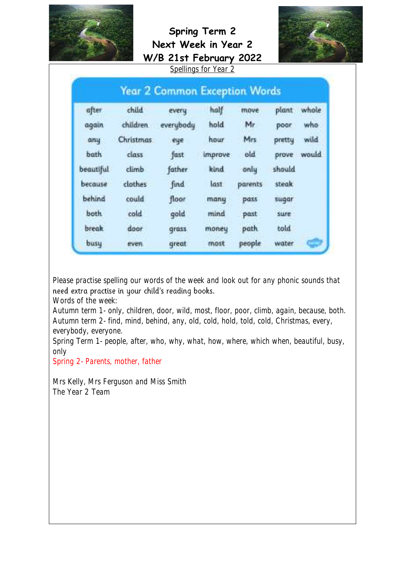



|              |                  | <b>Year 2 Common Exception Words</b> |         |         |        |       |
|--------------|------------------|--------------------------------------|---------|---------|--------|-------|
| after        | child            | every                                | half    | move    | plant  | whole |
| again        | children.        | everybody                            | hold    | Mr      | poor   | who   |
| any          | <b>Christmas</b> | eye                                  | hour    | Mrs:    | pretty | wild  |
| bath         | class            | fast                                 | improve | old     | prove  | would |
| beautiful    | climb            | father.                              | kind    | only    | should |       |
| because      | clothes          | find                                 | last    | parents | steak  |       |
| behind       | could            | floor                                | many    | pass    | sugar  |       |
| both         | cold             | gold                                 | mind    | past    | sure   |       |
| <b>break</b> | door             | grass                                | money   | path.   | told   |       |
| busu         | even.            | great                                | most    | people  | water  |       |

Please practise spelling our words of the week and look out for any phonic sounds that need extra practise in your child's reading books.

Words of the week:

Autumn term 1- only, children, door, wild, most, floor, poor, climb, again, because, both. Autumn term 2- find, mind, behind, any, old, cold, hold, told, cold, Christmas, every, everybody, everyone.

Spring Term 1- people, after, who, why, what, how, where, which when, beautiful, busy, only

Spring 2- Parents, mother, father

Mrs Kelly, Mrs Ferguson and Miss Smith The Year 2 Team